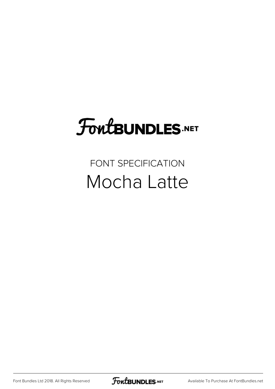# **FoutBUNDLES.NET**

## FONT SPECIFICATION Mocha Latte

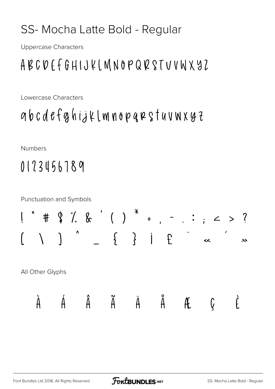### SS-Mocha Latte Bold - Regular

**Uppercase Characters** 

### ABCDEFGHIJKLMNOPQRSTUVWXYZ

Lowercase Characters

gbcdefghijklmnopqrstuvwxyz

**Numbers** 

## 0123456789

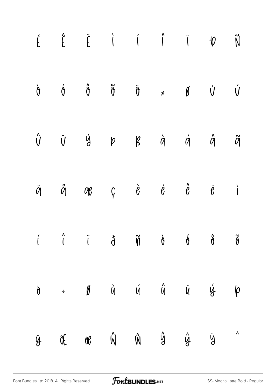|            | $\acute{\epsilon} \quad \  \  \, \acute{\epsilon} \quad \  \  \, \ddot{\epsilon} \quad \  \  \, \dot{\textbf{i}} \quad \  \  \, \acute{\textbf{i}} \quad \  \  \, \ddot{\textbf{i}} \quad \  \  \, \ddot{\textbf{v}} \quad \  \, \ddot{\textbf{w}}$ |  |  |  |
|------------|-----------------------------------------------------------------------------------------------------------------------------------------------------------------------------------------------------------------------------------------------------|--|--|--|
|            | $\dot{\mathsf{U}}\qquad \dot{\mathsf{U}}\qquad \dot{\mathsf{U}}\qquad \dot{\mathsf{U}}\qquad \dot{\mathsf{U}}\qquad \dot{\mathsf{U}}\qquad \dot{\mathsf{U}}\qquad \dot{\mathsf{U}}\qquad \dot{\mathsf{U}}\qquad \dot{\mathsf{U}}$                   |  |  |  |
|            | $\begin{matrix} \hat{\mathsf{U}} & \tilde{\mathsf{U}} & \tilde{\mathsf{Y}} & \mathsf{P} & \mathsf{B} & \mathsf{B} & \mathsf{A} & \mathsf{A} & \mathsf{A} & \mathsf{A} \end{matrix}$                                                                 |  |  |  |
|            | $\ddot{q} \qquad \ddot{q} \qquad q \qquad q \qquad \zeta \qquad \dot{\theta} \qquad \dot{\theta} \qquad \dot{\theta} \qquad \ddot{\theta} \qquad \dot{\theta}$                                                                                      |  |  |  |
|            |                                                                                                                                                                                                                                                     |  |  |  |
|            | $\ddot{\theta}$ + $\theta$ $\dot{u}$ $\acute{u}$ $\ddot{u}$ $\ddot{u}$ $\acute{y}$ $\dot{\varphi}$                                                                                                                                                  |  |  |  |
| $\ddot{y}$ | Of or $\hat{W}$ $\hat{W}$ $\hat{Y}$ $\hat{Y}$ $\hat{Y}$                                                                                                                                                                                             |  |  |  |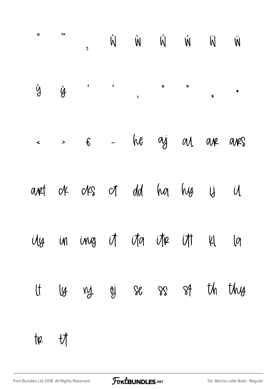|    |             | $\epsilon$ > $\epsilon$ - he aj al ar ars |  |  |  |
|----|-------------|-------------------------------------------|--|--|--|
|    |             | anet of offs of dd ha hy ij il            |  |  |  |
|    |             | ily in ing it ita itr it kl la            |  |  |  |
|    |             | It ly nj oj se ss st th thy               |  |  |  |
| te | $-\sqrt{2}$ |                                           |  |  |  |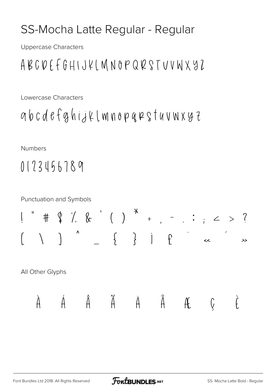#### SS-Mocha Latte Regular - Regular

**Uppercase Characters** 

### ABCDEFGHIJKLMNOPQRSTUVWXYZ

Lowercase Characters

abcdefahijklmnopqrstuvwxyz

**Numbers** 

### 0123456789

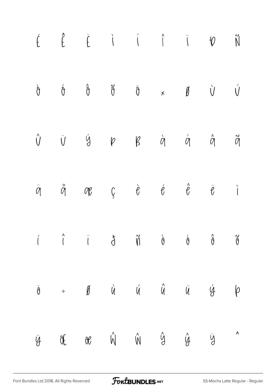|  | $\acute{\mathsf{E}}\qquad \  \  \, \acute{\mathsf{E}}\qquad \  \  \, \acute{\mathsf{I}}\qquad \  \  \, \acute{\mathsf{I}}\qquad \  \  \, \acute{\mathsf{I}}\qquad \  \  \, \acute{\mathsf{I}}\qquad \  \  \, \acute{\mathsf{V}}\qquad \  \  \, \mathsf{V}\qquad \  \  \, \mathsf{N}$                                                                                                                                                                                                                   |  |  |           |
|--|--------------------------------------------------------------------------------------------------------------------------------------------------------------------------------------------------------------------------------------------------------------------------------------------------------------------------------------------------------------------------------------------------------------------------------------------------------------------------------------------------------|--|--|-----------|
|  | $\dot{\mathsf{U}} \qquad \dot{\mathsf{U}} \qquad \mathsf{W} \qquad \mathsf{W} \qquad \dot{\mathsf{U}} \qquad \mathsf{W} \qquad \dot{\mathsf{U}} \qquad \dot{\mathsf{U}} \qquad \dot{\mathsf{U}} \qquad \dot{\mathsf{U}}$                                                                                                                                                                                                                                                                               |  |  |           |
|  | $\begin{matrix} \hat{U} \quad \  \  \, \ddot{U} \quad \  \  \, \dot{Q} \quad \  \  \, \rho \quad \  \  \, \beta \quad \  \  \, \dot{\alpha} \quad \  \  \, \dot{\alpha} \quad \  \  \, \dot{\alpha} \quad \  \  \, \ddot{\alpha} \quad \  \  \, \ddot{\alpha} \quad \  \, \ddot{\alpha} \quad \  \, \ddot{\alpha} \quad \  \, \ddot{\alpha} \quad \  \, \ddot{\alpha} \quad \  \, \ddot{\alpha} \quad \  \, \ddot{\alpha} \quad \  \, \ddot{\alpha} \quad \  \, \ddot{\alpha}$                         |  |  |           |
|  | $\ddot{\mathcal{O}}\qquad \qquad \ddot{\mathcal{O}}\qquad \qquad \mathcal{O}\qquad \qquad \dot{\mathcal{O}}\qquad \qquad \dot{\mathcal{O}}\qquad \qquad \dot{\mathcal{O}}\qquad \qquad \dot{\mathcal{O}}\qquad \qquad \dot{\mathcal{O}}\qquad \qquad \dot{\mathcal{O}}\qquad \qquad \dot{\mathcal{O}}\qquad \qquad \dot{\mathcal{O}}\qquad \qquad \dot{\mathcal{O}}\qquad \qquad \dot{\mathcal{O}}\qquad \qquad \dot{\mathcal{O}}\qquad \qquad \dot{\mathcal{O}}\qquad \qquad \dot{\mathcal{O}}\qquad$ |  |  |           |
|  |                                                                                                                                                                                                                                                                                                                                                                                                                                                                                                        |  |  |           |
|  | $\ddot{\theta}$ = $\dot{\theta}$ $\dot{\theta}$ $\dot{\theta}$ $\dot{\theta}$ $\ddot{\theta}$ $\ddot{\theta}$ $\dot{\theta}$ $\dot{\theta}$                                                                                                                                                                                                                                                                                                                                                            |  |  |           |
|  | $\ddot{y}$ or $\dot{W}$ $\dot{W}$ $\dot{y}$ $\dot{y}$ $\ddot{y}$                                                                                                                                                                                                                                                                                                                                                                                                                                       |  |  | $\lambda$ |

[Font Bundles Ltd 2018. All Rights Reserved](https://fontbundles.net/) **FoutBUNDLES.NET** [SS-Mocha Latte Regular - Regular](https://fontbundles.net/) - Regular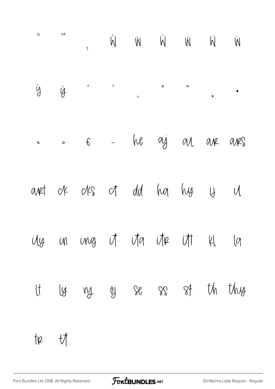|    |             | $\leftarrow$ > $\epsilon$ - he ay an are are |  |  |  |
|----|-------------|----------------------------------------------|--|--|--|
|    |             | anet of offs of dd ha hy ij il               |  |  |  |
|    |             | ily in ing it ita itre itt kl la             |  |  |  |
|    |             | It ly ny oj se ss st th thy                  |  |  |  |
| te | $-\sqrt{2}$ |                                              |  |  |  |